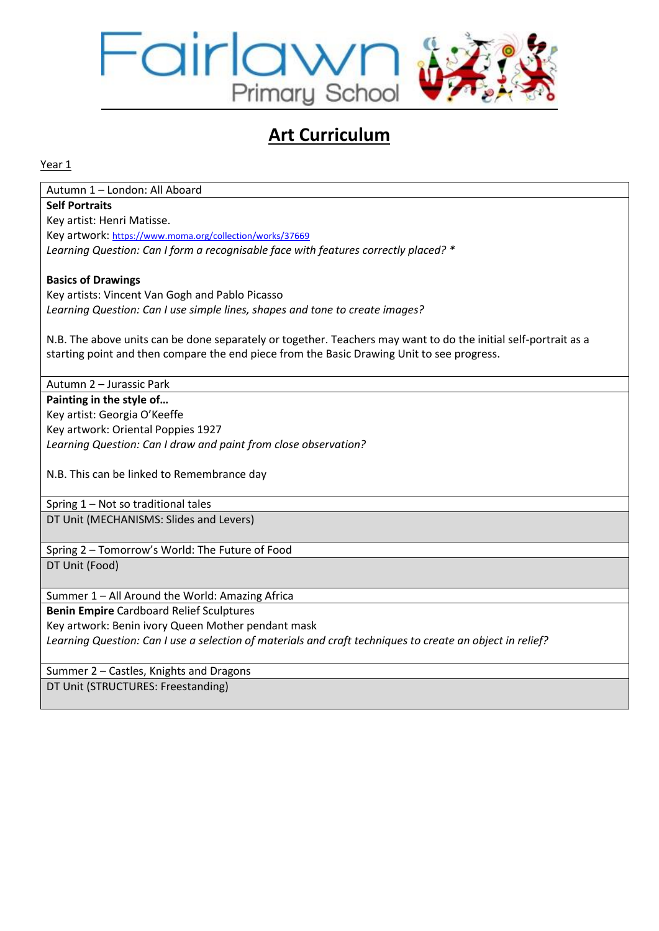

# **Art Curriculum**

Year 1

Autumn 1 – London: All Aboard **Self Portraits** Key artist: Henri Matisse. Key artwork: <https://www.moma.org/collection/works/37669> *Learning Question: Can I form a recognisable face with features correctly placed? \**

### **Basics of Drawings**

Key artists: Vincent Van Gogh and Pablo Picasso *Learning Question: Can I use simple lines, shapes and tone to create images?*

N.B. The above units can be done separately or together. Teachers may want to do the initial self-portrait as a starting point and then compare the end piece from the Basic Drawing Unit to see progress.

Autumn 2 – Jurassic Park **Painting in the style of…** Key artist: Georgia O'Keeffe Key artwork: Oriental Poppies 1927

*Learning Question: Can I draw and paint from close observation?*

N.B. This can be linked to Remembrance day

Spring 1 – Not so traditional tales DT Unit (MECHANISMS: Slides and Levers)

Spring 2 – Tomorrow's World: The Future of Food DT Unit (Food)

Summer 1 – All Around the World: Amazing Africa

**Benin Empire** Cardboard Relief Sculptures Key artwork: Benin ivory Queen Mother pendant mask

*Learning Question: Can I use a selection of materials and craft techniques to create an object in relief?*

Summer 2 – Castles, Knights and Dragons

DT Unit (STRUCTURES: Freestanding)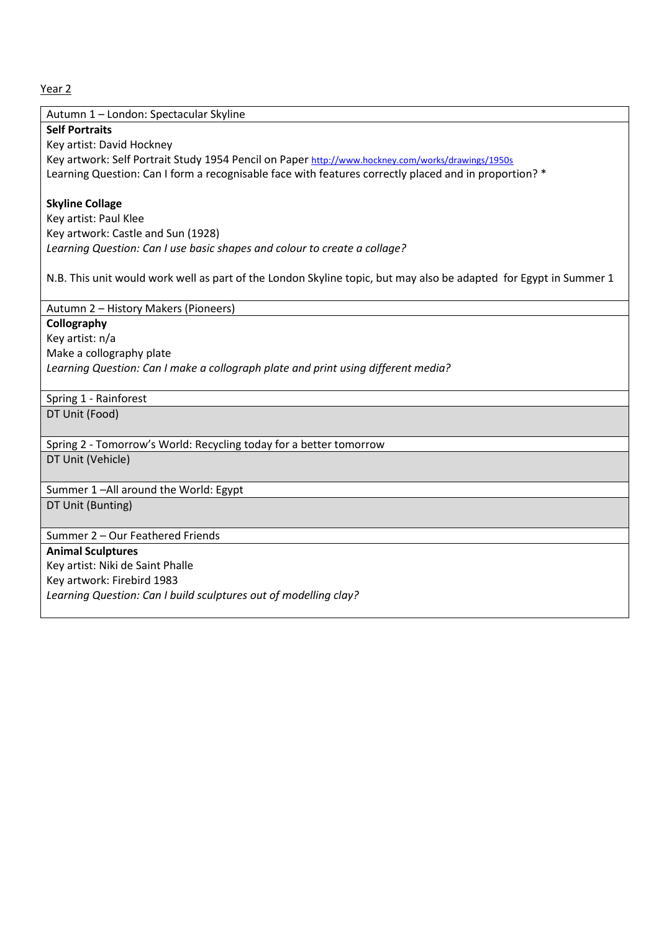Autumn 1 – London: Spectacular Skyline

**Self Portraits**

Key artist: David Hockney Key artwork: Self Portrait Study 1954 Pencil on Paper <http://www.hockney.com/works/drawings/1950s> Learning Question: Can I form a recognisable face with features correctly placed and in proportion? \*

#### **Skyline Collage**

Key artist: Paul Klee Key artwork: Castle and Sun (1928) *Learning Question: Can I use basic shapes and colour to create a collage?*

N.B. This unit would work well as part of the London Skyline topic, but may also be adapted for Egypt in Summer 1

Autumn 2 – History Makers (Pioneers)

**Collography** Key artist: n/a Make a collography plate *Learning Question: Can I make a collograph plate and print using different media?*

Spring 1 - Rainforest

DT Unit (Food)

Spring 2 - Tomorrow's World: Recycling today for a better tomorrow DT Unit (Vehicle)

Summer 1 –All around the World: Egypt

DT Unit (Bunting)

Summer 2 – Our Feathered Friends

**Animal Sculptures**

Key artist: Niki de Saint Phalle

Key artwork: Firebird 1983

*Learning Question: Can I build sculptures out of modelling clay?*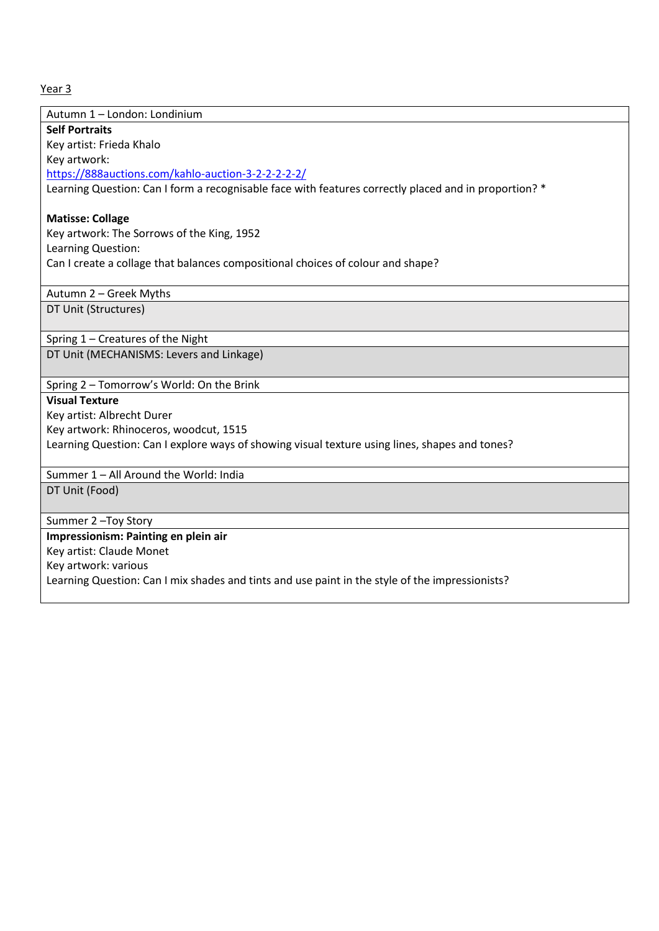| Autumn 1 - London: Londinium                                                                          |
|-------------------------------------------------------------------------------------------------------|
| <b>Self Portraits</b>                                                                                 |
| Key artist: Frieda Khalo                                                                              |
| Key artwork:                                                                                          |
| https://888auctions.com/kahlo-auction-3-2-2-2-2-2/                                                    |
| Learning Question: Can I form a recognisable face with features correctly placed and in proportion? * |
| <b>Matisse: Collage</b>                                                                               |
| Key artwork: The Sorrows of the King, 1952                                                            |
| Learning Question:                                                                                    |
| Can I create a collage that balances compositional choices of colour and shape?                       |
|                                                                                                       |
| Autumn 2 - Greek Myths                                                                                |
| DT Unit (Structures)                                                                                  |
|                                                                                                       |
| Spring 1 - Creatures of the Night                                                                     |
| DT Unit (MECHANISMS: Levers and Linkage)                                                              |
|                                                                                                       |
| Spring 2 - Tomorrow's World: On the Brink                                                             |
| <b>Visual Texture</b>                                                                                 |
| Key artist: Albrecht Durer                                                                            |
| Key artwork: Rhinoceros, woodcut, 1515                                                                |
| Learning Question: Can I explore ways of showing visual texture using lines, shapes and tones?        |
| Summer 1 - All Around the World: India                                                                |
| DT Unit (Food)                                                                                        |
|                                                                                                       |
| Summer 2-Toy Story                                                                                    |
| Impressionism: Painting en plein air                                                                  |
| Key artist: Claude Monet                                                                              |
| Key artwork: various                                                                                  |
| Learning Question: Can I mix shades and tints and use paint in the style of the impressionists?       |
|                                                                                                       |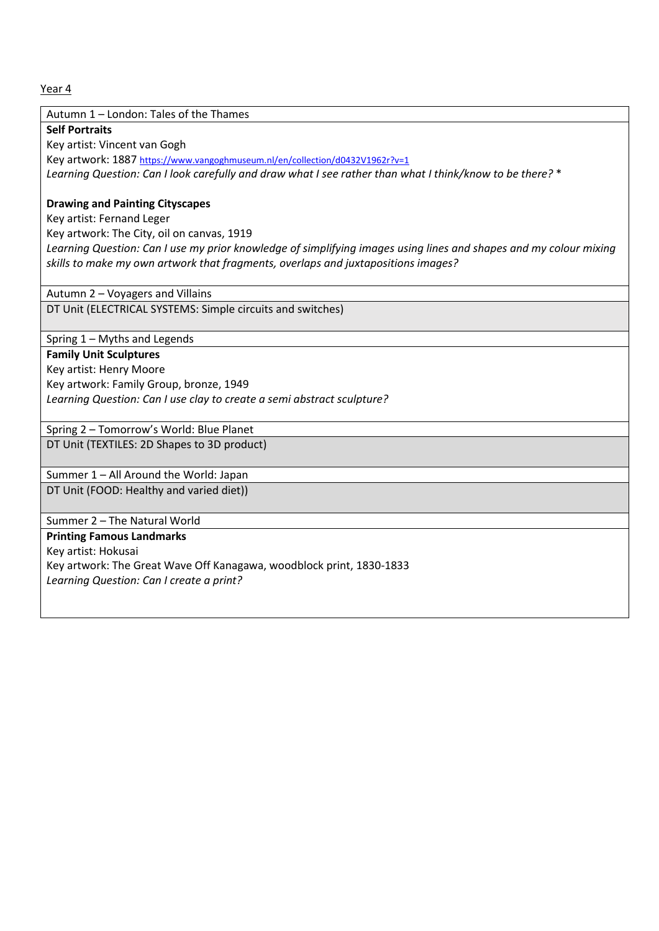Autumn 1 – London: Tales of the Thames

**Self Portraits**

Key artist: Vincent van Gogh

Key artwork: 1887 <https://www.vangoghmuseum.nl/en/collection/d0432V1962r?v=1> *Learning Question: Can I look carefully and draw what I see rather than what I think/know to be there?* \*

#### **Drawing and Painting Cityscapes**

Key artist: Fernand Leger

Key artwork: The City, oil on canvas, 1919

*Learning Question: Can I use my prior knowledge of simplifying images using lines and shapes and my colour mixing skills to make my own artwork that fragments, overlaps and juxtapositions images?*

Autumn 2 – Voyagers and Villains

DT Unit (ELECTRICAL SYSTEMS: Simple circuits and switches)

Spring 1 – Myths and Legends

## **Family Unit Sculptures**

Key artist: Henry Moore Key artwork: Family Group, bronze, 1949 *Learning Question: Can I use clay to create a semi abstract sculpture?*

Spring 2 – Tomorrow's World: Blue Planet

DT Unit (TEXTILES: 2D Shapes to 3D product)

Summer 1 – All Around the World: Japan DT Unit (FOOD: Healthy and varied diet))

Summer 2 – The Natural World

#### **Printing Famous Landmarks**

Key artist: Hokusai Key artwork: The Great Wave Off Kanagawa, woodblock print, 1830-1833 *Learning Question: Can I create a print?*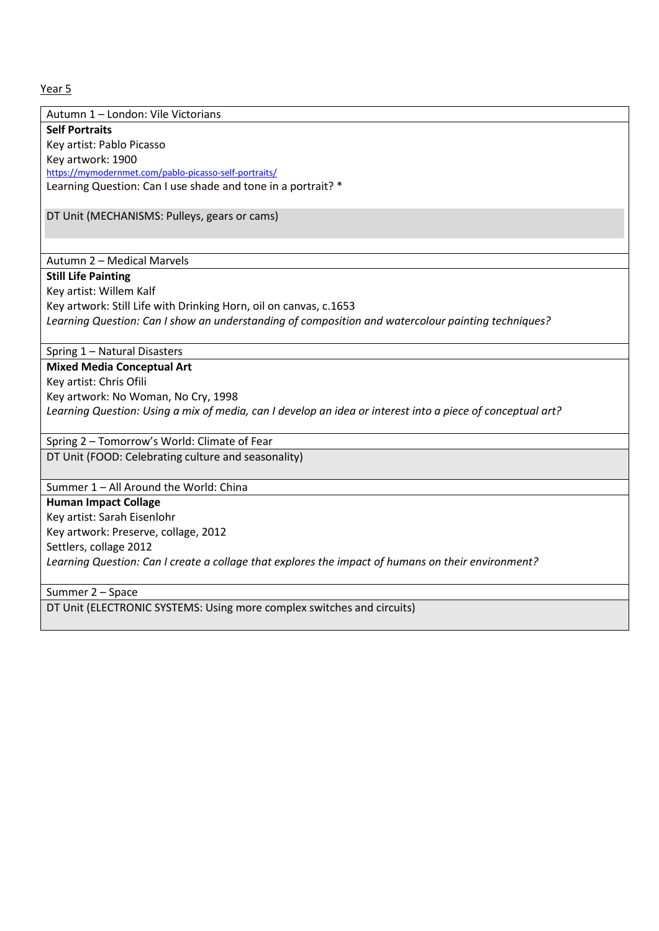Autumn 1 – London: Vile Victorians **Self Portraits** Key artist: Pablo Picasso Key artwork: 1900 <https://mymodernmet.com/pablo-picasso-self-portraits/>

Learning Question: Can I use shade and tone in a portrait? \*

DT Unit (MECHANISMS: Pulleys, gears or cams)

#### Autumn 2 – Medical Marvels

**Still Life Painting** 

Key artist: Willem Kalf Key artwork: Still Life with Drinking Horn, oil on canvas, c.1653 *Learning Question: Can I show an understanding of composition and watercolour painting techniques?* 

Spring 1 – Natural Disasters

**Mixed Media Conceptual Art** Key artist: Chris Ofili Key artwork: No Woman, No Cry, 1998 *Learning Question: Using a mix of media, can I develop an idea or interest into a piece of conceptual art?* 

Spring 2 – Tomorrow's World: Climate of Fear

DT Unit (FOOD: Celebrating culture and seasonality)

Summer 1 – All Around the World: China

**Human Impact Collage**  Key artist: Sarah Eisenlohr Key artwork: Preserve, collage, 2012 Settlers, collage 2012 *Learning Question: Can I create a collage that explores the impact of humans on their environment?* 

Summer 2 – Space

DT Unit (ELECTRONIC SYSTEMS: Using more complex switches and circuits)